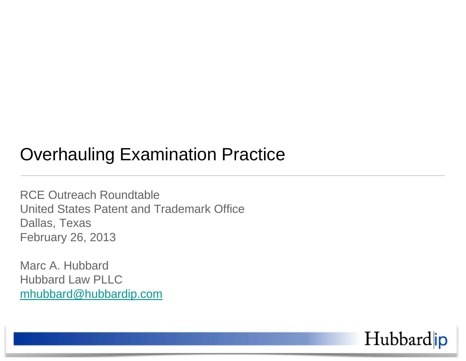### Overhauling Examination Practice

RCE Outreach Roundtable United States Patent and Trademark Office Dallas, Texas February 26, 2013

Marc A. Hubbard Hubbard Law PLLC mhubbard@hubbardip.com

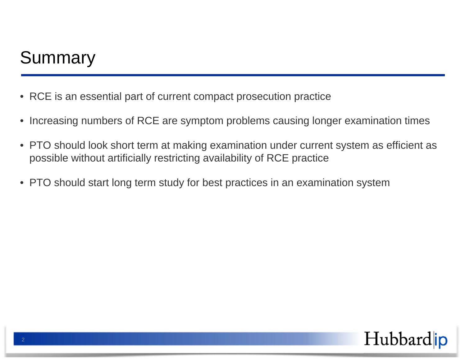## **Summary**

- RCE is an essential part of current compact prosecution practice
- Increasing numbers of RCE are symptom problems causing longer examination times
- PTO should look short term at making examination under current system as efficient as possible without artificially restricting availability of RCE practice
- PTO should start long term study for best practices in an examination system

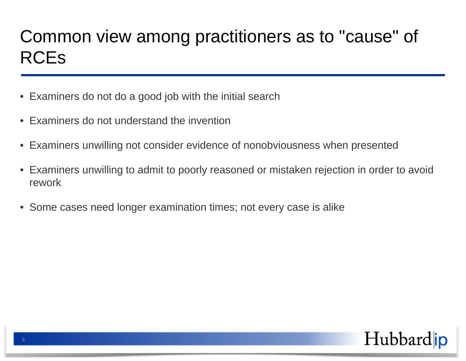# Common view among practitioners as to "cause" of RCEs

- Examiners do not do a good job with the initial search
- Examiners do not understand the invention
- Examiners unwilling not consider evidence of nonobviousness when presented
- Examiners unwilling to admit to poorly reasoned or mistaken rejection in order to avoid rework
- Some cases need longer examination times; not every case is alike

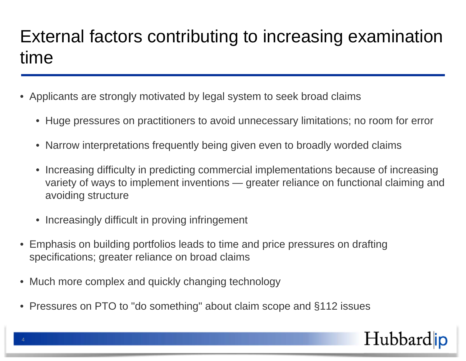## External factors contributing to increasing examination time

- Applicants are strongly motivated by legal system to seek broad claims
	- Huge pressures on practitioners to avoid unnecessary limitations; no room for error
	- Narrow interpretations frequently being given even to broadly worded claims
	- Increasing difficulty in predicting commercial implementations because of increasing variety of ways to implement inventions — greater reliance on functional claiming and avoiding structure
	- Increasingly difficult in proving infringement
- Emphasis on building portfolios leads to time and price pressures on drafting specifications; greater reliance on broad claims
- Much more complex and quickly changing technology
- Pressures on PTO to "do something" about claim scope and §112 issues

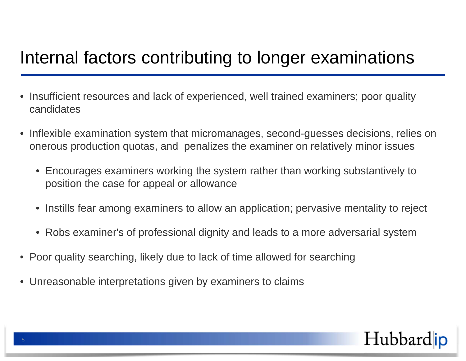### Internal factors contributing to longer examinations

- Insufficient resources and lack of experienced, well trained examiners; poor quality candidates
- Inflexible examination system that micromanages, second-guesses decisions, relies on onerous production quotas, and penalizes the examiner on relatively minor issues
	- Encourages examiners working the system rather than working substantively to position the case for appeal or allowance
	- Instills fear among examiners to allow an application; pervasive mentality to reject
	- Robs examiner's of professional dignity and leads to a more adversarial system
- Poor quality searching, likely due to lack of time allowed for searching
- Unreasonable interpretations given by examiners to claims

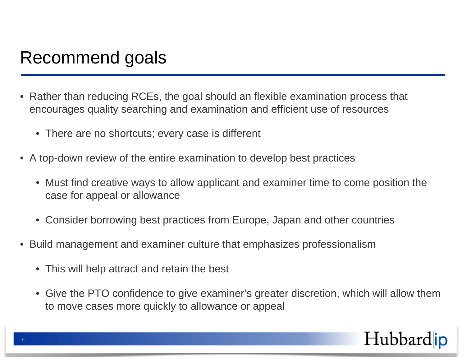#### Recommend goals

- Rather than reducing RCEs, the goal should an flexible examination process that encourages quality searching and examination and efficient use of resources
	- There are no shortcuts; every case is different
- A top-down review of the entire examination to develop best practices
	- Must find creative ways to allow applicant and examiner time to come position the case for appeal or allowance
	- Consider borrowing best practices from Europe, Japan and other countries
- Build management and examiner culture that emphasizes professionalism
	- This will help attract and retain the best
	- Give the PTO confidence to give examiner's greater discretion, which will allow them to move cases more quickly to allowance or appeal

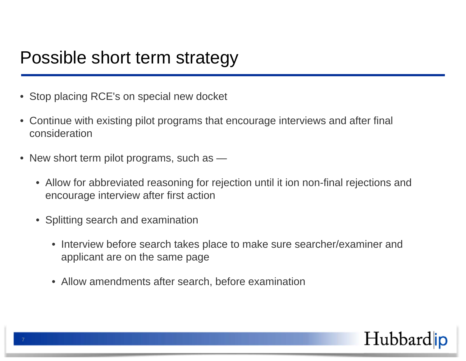#### Possible short term strategy

- Stop placing RCE's on special new docket
- Continue with existing pilot programs that encourage interviews and after final consideration
- New short term pilot programs, such as -
	- Allow for abbreviated reasoning for rejection until it ion non-final rejections and encourage interview after first action
	- Splitting search and examination
		- Interview before search takes place to make sure searcher/examiner and applicant are on the same page
		- Allow amendments after search, before examination